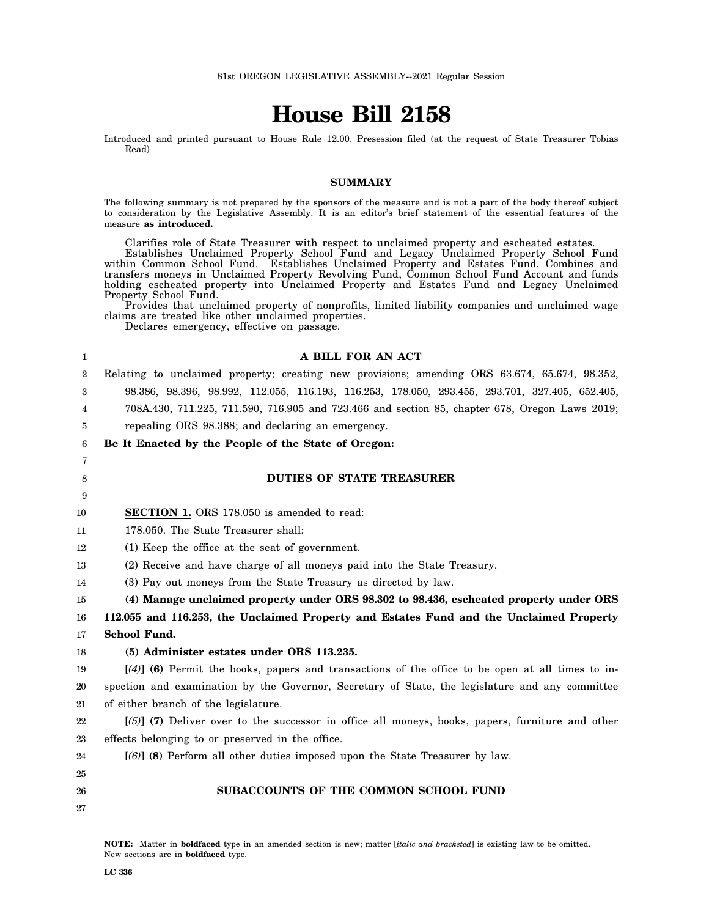# **House Bill 2158**

Introduced and printed pursuant to House Rule 12.00. Presession filed (at the request of State Treasurer Tobias Read)

#### **SUMMARY**

The following summary is not prepared by the sponsors of the measure and is not a part of the body thereof subject to consideration by the Legislative Assembly. It is an editor's brief statement of the essential features of the measure **as introduced.**

Clarifies role of State Treasurer with respect to unclaimed property and escheated estates. Establishes Unclaimed Property School Fund and Legacy Unclaimed Property School Fund within Common School Fund. Establishes Unclaimed Property and Estates Fund. Combines and transfers moneys in Unclaimed Property Revolving Fund, Common School Fund Account and funds holding escheated property into Unclaimed Property and Estates Fund and Legacy Unclaimed Property School Fund.

Provides that unclaimed property of nonprofits, limited liability companies and unclaimed wage claims are treated like other unclaimed properties.

Declares emergency, effective on passage.

| 1  | A BILL FOR AN ACT                                                                                  |
|----|----------------------------------------------------------------------------------------------------|
| 2  | Relating to unclaimed property; creating new provisions; amending ORS 63.674, 65.674, 98.352,      |
| 3  | 98.386, 98.396, 98.992, 112.055, 116.193, 116.253, 178.050, 293.455, 293.701, 327.405, 652.405,    |
| 4  | 708A.430, 711.225, 711.590, 716.905 and 723.466 and section 85, chapter 678, Oregon Laws 2019;     |
| 5  | repealing ORS 98.388; and declaring an emergency.                                                  |
| 6  | Be It Enacted by the People of the State of Oregon:                                                |
| 7  |                                                                                                    |
| 8  | <b>DUTIES OF STATE TREASURER</b>                                                                   |
| 9  |                                                                                                    |
| 10 | <b>SECTION 1.</b> ORS 178.050 is amended to read:                                                  |
| 11 | 178.050. The State Treasurer shall:                                                                |
| 12 | (1) Keep the office at the seat of government.                                                     |
| 13 | (2) Receive and have charge of all moneys paid into the State Treasury.                            |
| 14 | (3) Pay out moneys from the State Treasury as directed by law.                                     |
| 15 | (4) Manage unclaimed property under ORS 98.302 to 98.436, escheated property under ORS             |
| 16 | 112.055 and 116.253, the Unclaimed Property and Estates Fund and the Unclaimed Property            |
| 17 | School Fund.                                                                                       |
| 18 | (5) Administer estates under ORS 113.235.                                                          |
| 19 | $[(4)]$ (6) Permit the books, papers and transactions of the office to be open at all times to in- |
| 20 | spection and examination by the Governor, Secretary of State, the legislature and any committee    |
| 21 | of either branch of the legislature.                                                               |
| 22 | $(5)$ (7) Deliver over to the successor in office all moneys, books, papers, furniture and other   |
| 23 | effects belonging to or preserved in the office.                                                   |
| 24 | [(6)] (8) Perform all other duties imposed upon the State Treasurer by law.                        |
| 25 |                                                                                                    |
| 26 | SUBACCOUNTS OF THE COMMON SCHOOL FUND                                                              |
| 27 |                                                                                                    |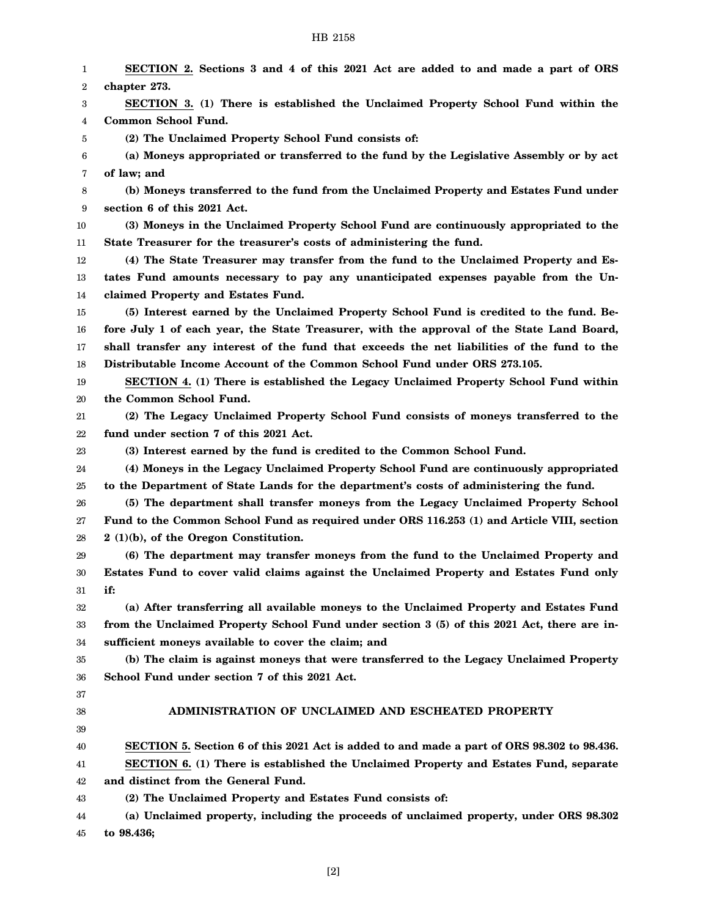| 1  | SECTION 2. Sections 3 and 4 of this 2021 Act are added to and made a part of ORS            |
|----|---------------------------------------------------------------------------------------------|
| 2  | chapter 273.                                                                                |
| 3  | SECTION 3. (1) There is established the Unclaimed Property School Fund within the           |
| 4  | Common School Fund.                                                                         |
| 5  | (2) The Unclaimed Property School Fund consists of:                                         |
| 6  | (a) Moneys appropriated or transferred to the fund by the Legislative Assembly or by act    |
| 7  | of law; and                                                                                 |
| 8  | (b) Moneys transferred to the fund from the Unclaimed Property and Estates Fund under       |
| 9  | section 6 of this 2021 Act.                                                                 |
| 10 | (3) Moneys in the Unclaimed Property School Fund are continuously appropriated to the       |
| 11 | State Treasurer for the treasurer's costs of administering the fund.                        |
| 12 | (4) The State Treasurer may transfer from the fund to the Unclaimed Property and Es-        |
| 13 | tates Fund amounts necessary to pay any unanticipated expenses payable from the Un-         |
| 14 | claimed Property and Estates Fund.                                                          |
| 15 | (5) Interest earned by the Unclaimed Property School Fund is credited to the fund. Be-      |
| 16 | fore July 1 of each year, the State Treasurer, with the approval of the State Land Board,   |
| 17 | shall transfer any interest of the fund that exceeds the net liabilities of the fund to the |
| 18 | Distributable Income Account of the Common School Fund under ORS 273.105.                   |
| 19 | SECTION 4. (1) There is established the Legacy Unclaimed Property School Fund within        |
| 20 | the Common School Fund.                                                                     |
| 21 | (2) The Legacy Unclaimed Property School Fund consists of moneys transferred to the         |
| 22 | fund under section 7 of this 2021 Act.                                                      |
| 23 | (3) Interest earned by the fund is credited to the Common School Fund.                      |
| 24 | (4) Moneys in the Legacy Unclaimed Property School Fund are continuously appropriated       |
| 25 | to the Department of State Lands for the department's costs of administering the fund.      |
| 26 | (5) The department shall transfer moneys from the Legacy Unclaimed Property School          |
| 27 | Fund to the Common School Fund as required under ORS 116.253 (1) and Article VIII, section  |
| 28 | $2(1)(b)$ , of the Oregon Constitution.                                                     |
| 29 | (6) The department may transfer moneys from the fund to the Unclaimed Property and          |
| 30 | Estates Fund to cover valid claims against the Unclaimed Property and Estates Fund only     |
| 31 | if:                                                                                         |
| 32 | (a) After transferring all available moneys to the Unclaimed Property and Estates Fund      |
| 33 | from the Unclaimed Property School Fund under section 3 (5) of this 2021 Act, there are in- |
| 34 | sufficient moneys available to cover the claim; and                                         |
| 35 | (b) The claim is against moneys that were transferred to the Legacy Unclaimed Property      |
| 36 | School Fund under section 7 of this 2021 Act.                                               |
| 37 |                                                                                             |
| 38 | ADMINISTRATION OF UNCLAIMED AND ESCHEATED PROPERTY                                          |
| 39 |                                                                                             |
| 40 | SECTION 5. Section 6 of this 2021 Act is added to and made a part of ORS 98.302 to 98.436.  |
| 41 | SECTION 6. (1) There is established the Unclaimed Property and Estates Fund, separate       |
| 42 | and distinct from the General Fund.                                                         |
| 43 | (2) The Unclaimed Property and Estates Fund consists of:                                    |
| 44 | (a) Unclaimed property, including the proceeds of unclaimed property, under ORS 98.302      |
| 45 | to 98.436;                                                                                  |

[2]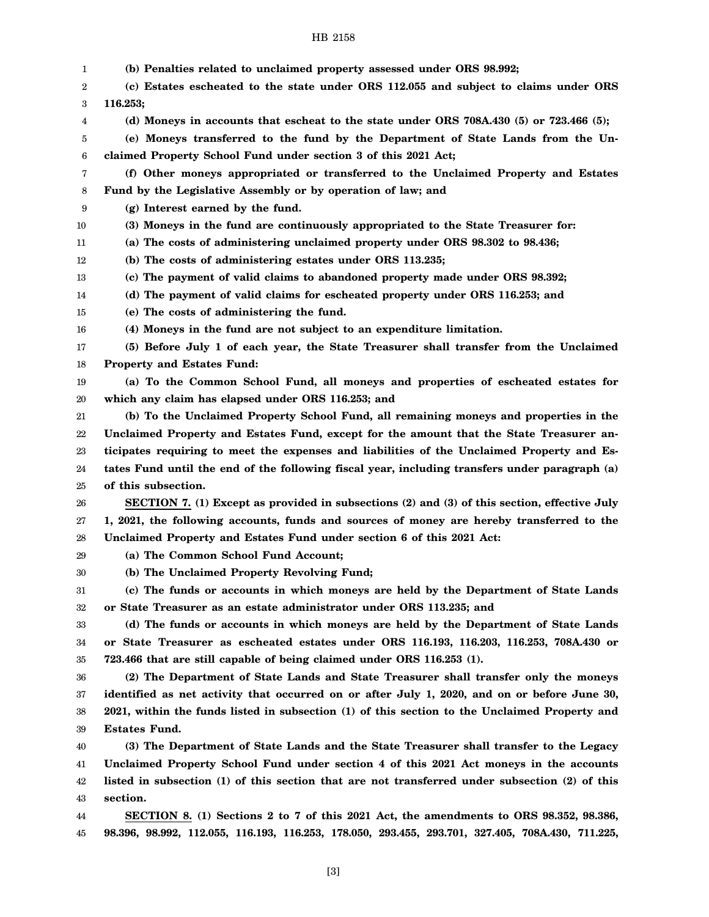| 1  | (b) Penalties related to unclaimed property assessed under ORS 98.992;                            |
|----|---------------------------------------------------------------------------------------------------|
| 2  | (c) Estates escheated to the state under ORS 112.055 and subject to claims under ORS              |
| 3  | 116.253;                                                                                          |
| 4  | (d) Moneys in accounts that escheat to the state under ORS 708A.430 $(5)$ or 723.466 $(5)$ ;      |
| 5  | (e) Moneys transferred to the fund by the Department of State Lands from the Un-                  |
| 6  | claimed Property School Fund under section 3 of this 2021 Act;                                    |
| 7  | (f) Other moneys appropriated or transferred to the Unclaimed Property and Estates                |
| 8  | Fund by the Legislative Assembly or by operation of law; and                                      |
| 9  | (g) Interest earned by the fund.                                                                  |
| 10 | (3) Moneys in the fund are continuously appropriated to the State Treasurer for:                  |
| 11 | (a) The costs of administering unclaimed property under ORS 98.302 to 98.436;                     |
| 12 | (b) The costs of administering estates under ORS 113.235;                                         |
| 13 | (c) The payment of valid claims to abandoned property made under ORS 98.392;                      |
| 14 | (d) The payment of valid claims for escheated property under ORS 116.253; and                     |
| 15 | (e) The costs of administering the fund.                                                          |
| 16 | (4) Moneys in the fund are not subject to an expenditure limitation.                              |
| 17 | (5) Before July 1 of each year, the State Treasurer shall transfer from the Unclaimed             |
| 18 | <b>Property and Estates Fund:</b>                                                                 |
| 19 | (a) To the Common School Fund, all moneys and properties of escheated estates for                 |
| 20 | which any claim has elapsed under ORS 116.253; and                                                |
| 21 | (b) To the Unclaimed Property School Fund, all remaining moneys and properties in the             |
| 22 | Unclaimed Property and Estates Fund, except for the amount that the State Treasurer an-           |
| 23 | ticipates requiring to meet the expenses and liabilities of the Unclaimed Property and Es-        |
| 24 | tates Fund until the end of the following fiscal year, including transfers under paragraph (a)    |
| 25 | of this subsection.                                                                               |
| 26 | SECTION 7. (1) Except as provided in subsections (2) and (3) of this section, effective July      |
| 27 | 1, 2021, the following accounts, funds and sources of money are hereby transferred to the         |
| 28 | Unclaimed Property and Estates Fund under section 6 of this 2021 Act:                             |
| 29 | (a) The Common School Fund Account;                                                               |
| 30 | (b) The Unclaimed Property Revolving Fund;                                                        |
| 31 | (c) The funds or accounts in which moneys are held by the Department of State Lands               |
| 32 | or State Treasurer as an estate administrator under ORS 113.235; and                              |
| 33 | (d) The funds or accounts in which moneys are held by the Department of State Lands               |
| 34 | or State Treasurer as escheated estates under ORS 116.193, 116.203, 116.253, 708A.430 or          |
| 35 | 723.466 that are still capable of being claimed under ORS 116.253 (1).                            |
| 36 | (2) The Department of State Lands and State Treasurer shall transfer only the moneys              |
| 37 | identified as net activity that occurred on or after July 1, 2020, and on or before June 30,      |
| 38 | 2021, within the funds listed in subsection (1) of this section to the Unclaimed Property and     |
| 39 | <b>Estates Fund.</b>                                                                              |
| 40 | (3) The Department of State Lands and the State Treasurer shall transfer to the Legacy            |
| 41 | Unclaimed Property School Fund under section 4 of this 2021 Act moneys in the accounts            |
| 42 | listed in subsection (1) of this section that are not transferred under subsection (2) of this    |
| 43 | section.                                                                                          |
| 44 | SECTION 8. (1) Sections 2 to 7 of this 2021 Act, the amendments to ORS 98.352, 98.386,            |
| 45 | 98.396, 98.992, 112.055, 116.193, 116.253, 178.050, 293.455, 293.701, 327.405, 708A.430, 711.225, |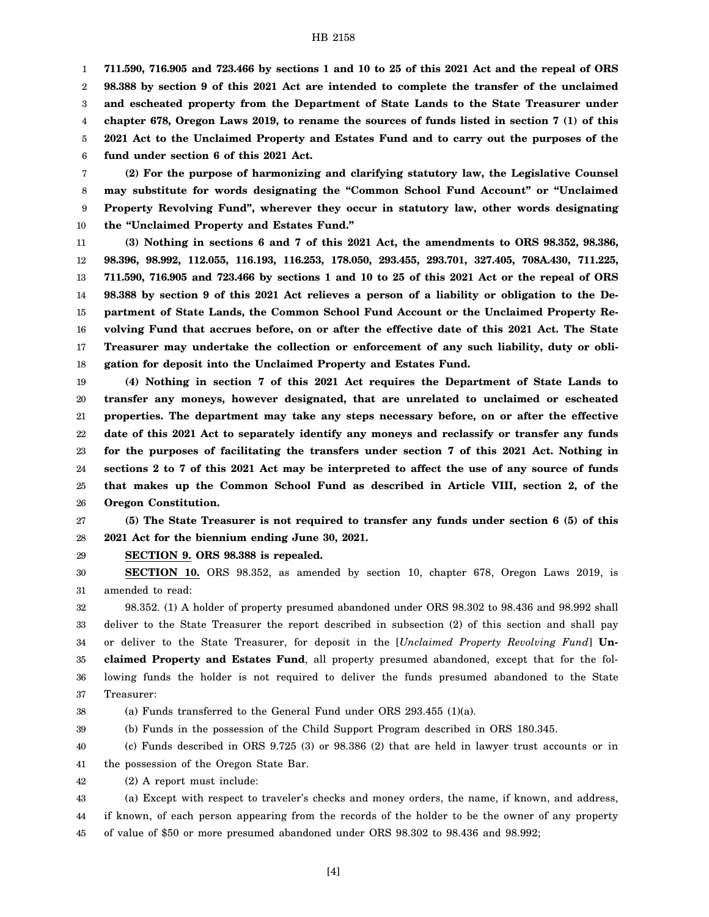1 2 3 4 5 6 **711.590, 716.905 and 723.466 by sections 1 and 10 to 25 of this 2021 Act and the repeal of ORS 98.388 by section 9 of this 2021 Act are intended to complete the transfer of the unclaimed and escheated property from the Department of State Lands to the State Treasurer under chapter 678, Oregon Laws 2019, to rename the sources of funds listed in section 7 (1) of this 2021 Act to the Unclaimed Property and Estates Fund and to carry out the purposes of the fund under section 6 of this 2021 Act.**

7 8 9 10 **(2) For the purpose of harmonizing and clarifying statutory law, the Legislative Counsel may substitute for words designating the "Common School Fund Account" or "Unclaimed Property Revolving Fund", wherever they occur in statutory law, other words designating the "Unclaimed Property and Estates Fund."**

11 12 13 14 15 16 17 18 **(3) Nothing in sections 6 and 7 of this 2021 Act, the amendments to ORS 98.352, 98.386, 98.396, 98.992, 112.055, 116.193, 116.253, 178.050, 293.455, 293.701, 327.405, 708A.430, 711.225, 711.590, 716.905 and 723.466 by sections 1 and 10 to 25 of this 2021 Act or the repeal of ORS 98.388 by section 9 of this 2021 Act relieves a person of a liability or obligation to the Department of State Lands, the Common School Fund Account or the Unclaimed Property Revolving Fund that accrues before, on or after the effective date of this 2021 Act. The State Treasurer may undertake the collection or enforcement of any such liability, duty or obligation for deposit into the Unclaimed Property and Estates Fund.**

19 20 21 22 23 24 25 26 **(4) Nothing in section 7 of this 2021 Act requires the Department of State Lands to transfer any moneys, however designated, that are unrelated to unclaimed or escheated properties. The department may take any steps necessary before, on or after the effective date of this 2021 Act to separately identify any moneys and reclassify or transfer any funds for the purposes of facilitating the transfers under section 7 of this 2021 Act. Nothing in sections 2 to 7 of this 2021 Act may be interpreted to affect the use of any source of funds that makes up the Common School Fund as described in Article VIII, section 2, of the Oregon Constitution.**

27 28 **(5) The State Treasurer is not required to transfer any funds under section 6 (5) of this 2021 Act for the biennium ending June 30, 2021.**

29 **SECTION 9. ORS 98.388 is repealed.**

30 31 **SECTION 10.** ORS 98.352, as amended by section 10, chapter 678, Oregon Laws 2019, is amended to read:

32 33 34 35 36 37 98.352. (1) A holder of property presumed abandoned under ORS 98.302 to 98.436 and 98.992 shall deliver to the State Treasurer the report described in subsection (2) of this section and shall pay or deliver to the State Treasurer, for deposit in the [*Unclaimed Property Revolving Fund*] **Unclaimed Property and Estates Fund**, all property presumed abandoned, except that for the following funds the holder is not required to deliver the funds presumed abandoned to the State Treasurer:

38 (a) Funds transferred to the General Fund under ORS 293.455 (1)(a).

39

(b) Funds in the possession of the Child Support Program described in ORS 180.345.

40 41 (c) Funds described in ORS 9.725 (3) or 98.386 (2) that are held in lawyer trust accounts or in the possession of the Oregon State Bar.

42 (2) A report must include:

43 44 45 (a) Except with respect to traveler's checks and money orders, the name, if known, and address, if known, of each person appearing from the records of the holder to be the owner of any property of value of \$50 or more presumed abandoned under ORS 98.302 to 98.436 and 98.992;

[4]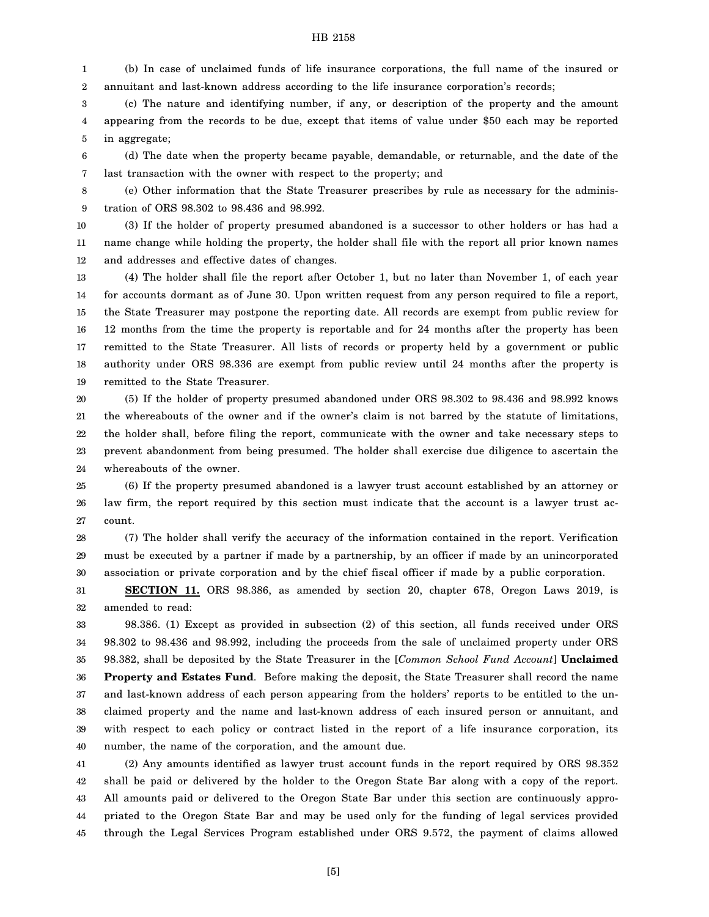1 2 (b) In case of unclaimed funds of life insurance corporations, the full name of the insured or annuitant and last-known address according to the life insurance corporation's records;

3 4 5 (c) The nature and identifying number, if any, or description of the property and the amount appearing from the records to be due, except that items of value under \$50 each may be reported in aggregate;

6 7 (d) The date when the property became payable, demandable, or returnable, and the date of the last transaction with the owner with respect to the property; and

8 9 (e) Other information that the State Treasurer prescribes by rule as necessary for the administration of ORS 98.302 to 98.436 and 98.992.

10 11 12 (3) If the holder of property presumed abandoned is a successor to other holders or has had a name change while holding the property, the holder shall file with the report all prior known names and addresses and effective dates of changes.

13 14 15 16 17 18 19 (4) The holder shall file the report after October 1, but no later than November 1, of each year for accounts dormant as of June 30. Upon written request from any person required to file a report, the State Treasurer may postpone the reporting date. All records are exempt from public review for 12 months from the time the property is reportable and for 24 months after the property has been remitted to the State Treasurer. All lists of records or property held by a government or public authority under ORS 98.336 are exempt from public review until 24 months after the property is remitted to the State Treasurer.

20 21 22 23 24 (5) If the holder of property presumed abandoned under ORS 98.302 to 98.436 and 98.992 knows the whereabouts of the owner and if the owner's claim is not barred by the statute of limitations, the holder shall, before filing the report, communicate with the owner and take necessary steps to prevent abandonment from being presumed. The holder shall exercise due diligence to ascertain the whereabouts of the owner.

25 26 27 (6) If the property presumed abandoned is a lawyer trust account established by an attorney or law firm, the report required by this section must indicate that the account is a lawyer trust account.

28 29 30 (7) The holder shall verify the accuracy of the information contained in the report. Verification must be executed by a partner if made by a partnership, by an officer if made by an unincorporated association or private corporation and by the chief fiscal officer if made by a public corporation.

31 32 **SECTION 11.** ORS 98.386, as amended by section 20, chapter 678, Oregon Laws 2019, is amended to read:

33 34 35 36 37 38 39 40 98.386. (1) Except as provided in subsection (2) of this section, all funds received under ORS 98.302 to 98.436 and 98.992, including the proceeds from the sale of unclaimed property under ORS 98.382, shall be deposited by the State Treasurer in the [*Common School Fund Account*] **Unclaimed Property and Estates Fund.** Before making the deposit, the State Treasurer shall record the name and last-known address of each person appearing from the holders' reports to be entitled to the unclaimed property and the name and last-known address of each insured person or annuitant, and with respect to each policy or contract listed in the report of a life insurance corporation, its number, the name of the corporation, and the amount due.

41 42 43 44 45 (2) Any amounts identified as lawyer trust account funds in the report required by ORS 98.352 shall be paid or delivered by the holder to the Oregon State Bar along with a copy of the report. All amounts paid or delivered to the Oregon State Bar under this section are continuously appropriated to the Oregon State Bar and may be used only for the funding of legal services provided through the Legal Services Program established under ORS 9.572, the payment of claims allowed

[5]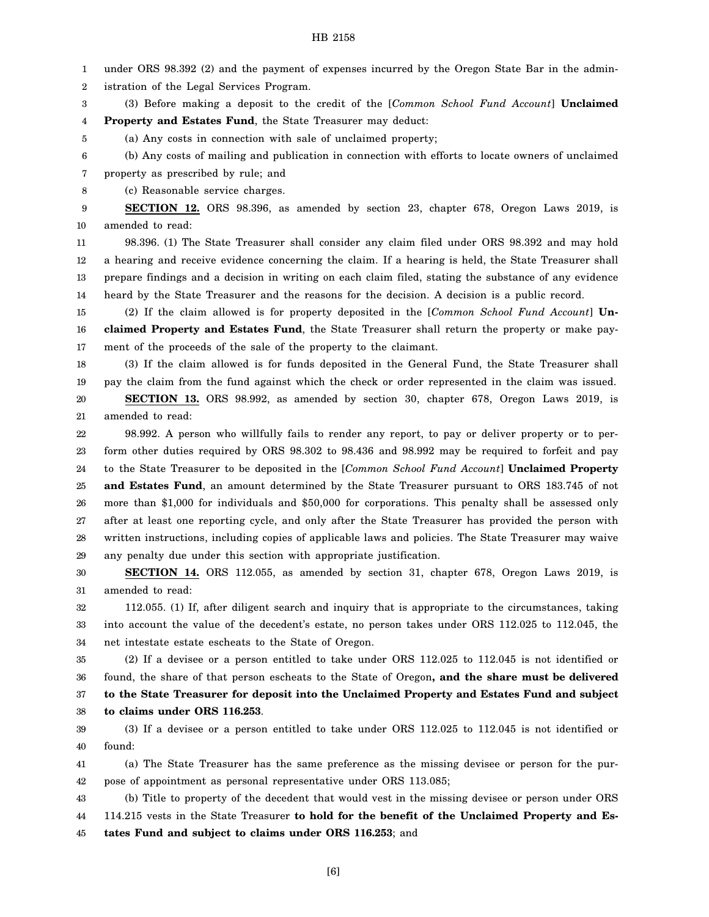1 under ORS 98.392 (2) and the payment of expenses incurred by the Oregon State Bar in the admin-

2 istration of the Legal Services Program.

3 (3) Before making a deposit to the credit of the [*Common School Fund Account*] **Unclaimed**

4 **Property and Estates Fund**, the State Treasurer may deduct:

5 (a) Any costs in connection with sale of unclaimed property;

6 7 (b) Any costs of mailing and publication in connection with efforts to locate owners of unclaimed property as prescribed by rule; and

8 (c) Reasonable service charges.

9 10 **SECTION 12.** ORS 98.396, as amended by section 23, chapter 678, Oregon Laws 2019, is amended to read:

11 12 13 14 98.396. (1) The State Treasurer shall consider any claim filed under ORS 98.392 and may hold a hearing and receive evidence concerning the claim. If a hearing is held, the State Treasurer shall prepare findings and a decision in writing on each claim filed, stating the substance of any evidence heard by the State Treasurer and the reasons for the decision. A decision is a public record.

15 16 17 (2) If the claim allowed is for property deposited in the [*Common School Fund Account*] **Unclaimed Property and Estates Fund**, the State Treasurer shall return the property or make payment of the proceeds of the sale of the property to the claimant.

18 19 (3) If the claim allowed is for funds deposited in the General Fund, the State Treasurer shall pay the claim from the fund against which the check or order represented in the claim was issued.

20 21 **SECTION 13.** ORS 98.992, as amended by section 30, chapter 678, Oregon Laws 2019, is amended to read:

22 23 24 25 26 27 28 29 98.992. A person who willfully fails to render any report, to pay or deliver property or to perform other duties required by ORS 98.302 to 98.436 and 98.992 may be required to forfeit and pay to the State Treasurer to be deposited in the [*Common School Fund Account*] **Unclaimed Property and Estates Fund**, an amount determined by the State Treasurer pursuant to ORS 183.745 of not more than \$1,000 for individuals and \$50,000 for corporations. This penalty shall be assessed only after at least one reporting cycle, and only after the State Treasurer has provided the person with written instructions, including copies of applicable laws and policies. The State Treasurer may waive any penalty due under this section with appropriate justification.

30 31 **SECTION 14.** ORS 112.055, as amended by section 31, chapter 678, Oregon Laws 2019, is amended to read:

32 33 34 112.055. (1) If, after diligent search and inquiry that is appropriate to the circumstances, taking into account the value of the decedent's estate, no person takes under ORS 112.025 to 112.045, the net intestate estate escheats to the State of Oregon.

35 36 37 38 (2) If a devisee or a person entitled to take under ORS 112.025 to 112.045 is not identified or found, the share of that person escheats to the State of Oregon**, and the share must be delivered to the State Treasurer for deposit into the Unclaimed Property and Estates Fund and subject to claims under ORS 116.253**.

39 40 (3) If a devisee or a person entitled to take under ORS 112.025 to 112.045 is not identified or found:

41 42 (a) The State Treasurer has the same preference as the missing devisee or person for the purpose of appointment as personal representative under ORS 113.085;

43 44 45 (b) Title to property of the decedent that would vest in the missing devisee or person under ORS 114.215 vests in the State Treasurer **to hold for the benefit of the Unclaimed Property and Estates Fund and subject to claims under ORS 116.253**; and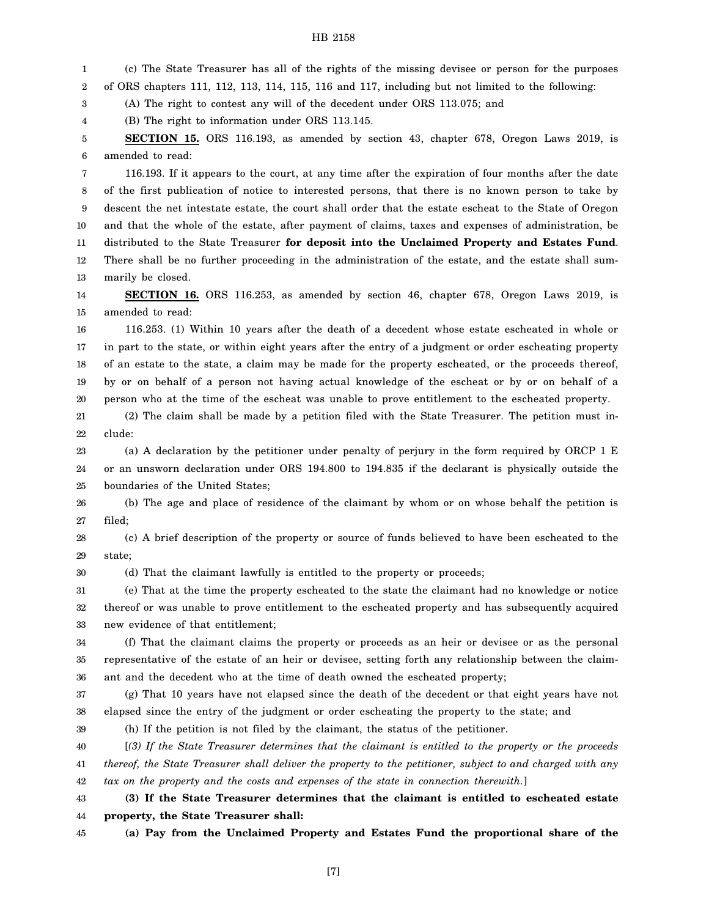1 2 (c) The State Treasurer has all of the rights of the missing devisee or person for the purposes of ORS chapters 111, 112, 113, 114, 115, 116 and 117, including but not limited to the following:

3 (A) The right to contest any will of the decedent under ORS 113.075; and

4 (B) The right to information under ORS 113.145.

5 6 **SECTION 15.** ORS 116.193, as amended by section 43, chapter 678, Oregon Laws 2019, is amended to read:

7 8 9 10 11 12 13 116.193. If it appears to the court, at any time after the expiration of four months after the date of the first publication of notice to interested persons, that there is no known person to take by descent the net intestate estate, the court shall order that the estate escheat to the State of Oregon and that the whole of the estate, after payment of claims, taxes and expenses of administration, be distributed to the State Treasurer **for deposit into the Unclaimed Property and Estates Fund**. There shall be no further proceeding in the administration of the estate, and the estate shall summarily be closed.

14 15 **SECTION 16.** ORS 116.253, as amended by section 46, chapter 678, Oregon Laws 2019, is amended to read:

16 17 18 19 20 116.253. (1) Within 10 years after the death of a decedent whose estate escheated in whole or in part to the state, or within eight years after the entry of a judgment or order escheating property of an estate to the state, a claim may be made for the property escheated, or the proceeds thereof, by or on behalf of a person not having actual knowledge of the escheat or by or on behalf of a person who at the time of the escheat was unable to prove entitlement to the escheated property.

21 22 (2) The claim shall be made by a petition filed with the State Treasurer. The petition must include:

23 24 25 (a) A declaration by the petitioner under penalty of perjury in the form required by ORCP 1 E or an unsworn declaration under ORS 194.800 to 194.835 if the declarant is physically outside the boundaries of the United States;

26 27 (b) The age and place of residence of the claimant by whom or on whose behalf the petition is filed;

28 29 (c) A brief description of the property or source of funds believed to have been escheated to the state;

30 (d) That the claimant lawfully is entitled to the property or proceeds;

31 32 33 (e) That at the time the property escheated to the state the claimant had no knowledge or notice thereof or was unable to prove entitlement to the escheated property and has subsequently acquired new evidence of that entitlement;

34 35 36 (f) That the claimant claims the property or proceeds as an heir or devisee or as the personal representative of the estate of an heir or devisee, setting forth any relationship between the claimant and the decedent who at the time of death owned the escheated property;

37 38 (g) That 10 years have not elapsed since the death of the decedent or that eight years have not elapsed since the entry of the judgment or order escheating the property to the state; and

39

(h) If the petition is not filed by the claimant, the status of the petitioner.

40 41 42 [*(3) If the State Treasurer determines that the claimant is entitled to the property or the proceeds thereof, the State Treasurer shall deliver the property to the petitioner, subject to and charged with any tax on the property and the costs and expenses of the state in connection therewith.*]

43 44 **(3) If the State Treasurer determines that the claimant is entitled to escheated estate property, the State Treasurer shall:**

45 **(a) Pay from the Unclaimed Property and Estates Fund the proportional share of the**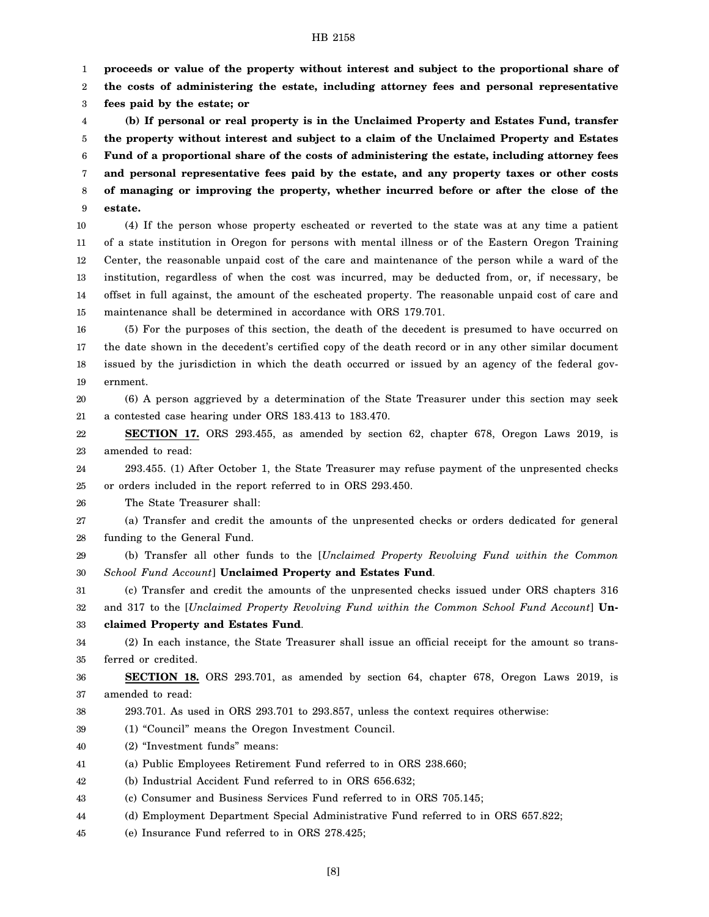1 **proceeds or value of the property without interest and subject to the proportional share of**

2 **the costs of administering the estate, including attorney fees and personal representative**

3 **fees paid by the estate; or**

4 5 6 7 8 9 **(b) If personal or real property is in the Unclaimed Property and Estates Fund, transfer the property without interest and subject to a claim of the Unclaimed Property and Estates Fund of a proportional share of the costs of administering the estate, including attorney fees and personal representative fees paid by the estate, and any property taxes or other costs of managing or improving the property, whether incurred before or after the close of the estate.**

10 11 12 13 14 15 (4) If the person whose property escheated or reverted to the state was at any time a patient of a state institution in Oregon for persons with mental illness or of the Eastern Oregon Training Center, the reasonable unpaid cost of the care and maintenance of the person while a ward of the institution, regardless of when the cost was incurred, may be deducted from, or, if necessary, be offset in full against, the amount of the escheated property. The reasonable unpaid cost of care and maintenance shall be determined in accordance with ORS 179.701.

16 17 18 19 (5) For the purposes of this section, the death of the decedent is presumed to have occurred on the date shown in the decedent's certified copy of the death record or in any other similar document issued by the jurisdiction in which the death occurred or issued by an agency of the federal government.

20 21 (6) A person aggrieved by a determination of the State Treasurer under this section may seek a contested case hearing under ORS 183.413 to 183.470.

22 23 **SECTION 17.** ORS 293.455, as amended by section 62, chapter 678, Oregon Laws 2019, is amended to read:

24 25 293.455. (1) After October 1, the State Treasurer may refuse payment of the unpresented checks or orders included in the report referred to in ORS 293.450.

26 The State Treasurer shall:

27 28 (a) Transfer and credit the amounts of the unpresented checks or orders dedicated for general funding to the General Fund.

29 30 (b) Transfer all other funds to the [*Unclaimed Property Revolving Fund within the Common School Fund Account*] **Unclaimed Property and Estates Fund**.

31 32 (c) Transfer and credit the amounts of the unpresented checks issued under ORS chapters 316 and 317 to the [*Unclaimed Property Revolving Fund within the Common School Fund Account*] **Un-**

33 **claimed Property and Estates Fund**.

34 35 (2) In each instance, the State Treasurer shall issue an official receipt for the amount so transferred or credited.

36 37 **SECTION 18.** ORS 293.701, as amended by section 64, chapter 678, Oregon Laws 2019, is amended to read:

- 38 293.701. As used in ORS 293.701 to 293.857, unless the context requires otherwise:
- 39 (1) "Council" means the Oregon Investment Council.
- 40 (2) "Investment funds" means:
- 41 (a) Public Employees Retirement Fund referred to in ORS 238.660;
- 42 (b) Industrial Accident Fund referred to in ORS 656.632;
- 43 (c) Consumer and Business Services Fund referred to in ORS 705.145;
- 44 (d) Employment Department Special Administrative Fund referred to in ORS 657.822;
- 45 (e) Insurance Fund referred to in ORS 278.425;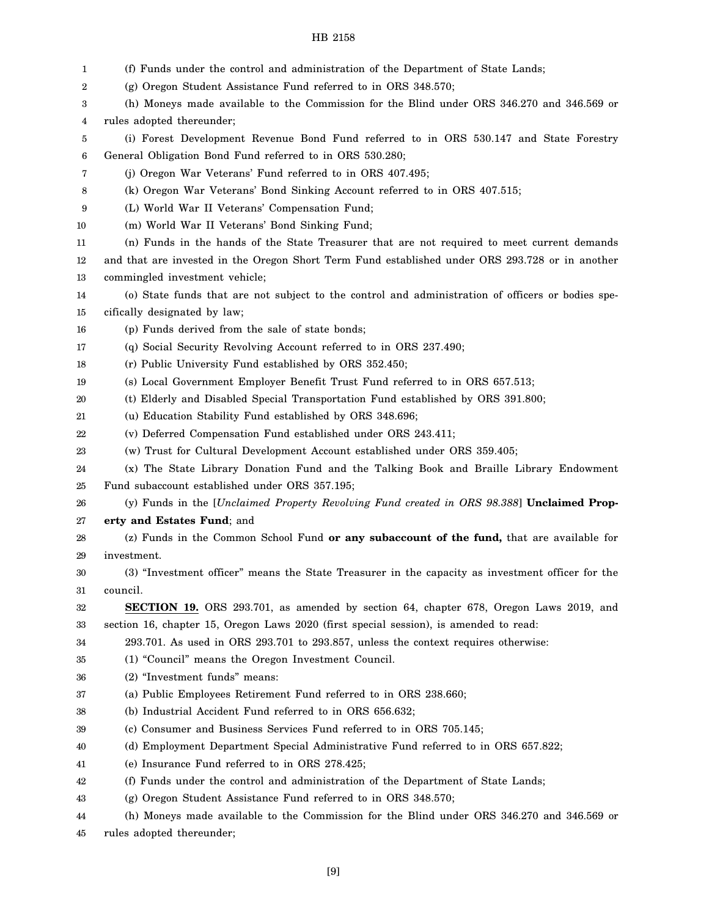| 1      | (f) Funds under the control and administration of the Department of State Lands;                  |
|--------|---------------------------------------------------------------------------------------------------|
| 2      | (g) Oregon Student Assistance Fund referred to in ORS 348.570;                                    |
| 3      | (h) Moneys made available to the Commission for the Blind under ORS 346.270 and 346.569 or        |
| 4      | rules adopted thereunder;                                                                         |
| 5      | (i) Forest Development Revenue Bond Fund referred to in ORS 530.147 and State Forestry            |
| 6      | General Obligation Bond Fund referred to in ORS 530.280;                                          |
| 7      | (j) Oregon War Veterans' Fund referred to in ORS 407.495;                                         |
| 8      | (k) Oregon War Veterans' Bond Sinking Account referred to in ORS 407.515;                         |
| 9      | (L) World War II Veterans' Compensation Fund;                                                     |
| 10     | (m) World War II Veterans' Bond Sinking Fund;                                                     |
| 11     | (n) Funds in the hands of the State Treasurer that are not required to meet current demands       |
| $12\,$ | and that are invested in the Oregon Short Term Fund established under ORS 293.728 or in another   |
| 13     | commingled investment vehicle;                                                                    |
| 14     | (o) State funds that are not subject to the control and administration of officers or bodies spe- |
| 15     | cifically designated by law;                                                                      |
| 16     | (p) Funds derived from the sale of state bonds;                                                   |
| 17     | (q) Social Security Revolving Account referred to in ORS 237.490;                                 |
| 18     | (r) Public University Fund established by ORS 352.450;                                            |
| 19     | (s) Local Government Employer Benefit Trust Fund referred to in ORS 657.513;                      |
| 20     | (t) Elderly and Disabled Special Transportation Fund established by ORS 391.800;                  |
| 21     | (u) Education Stability Fund established by ORS 348.696;                                          |
| 22     | (v) Deferred Compensation Fund established under ORS 243.411;                                     |
| 23     | (w) Trust for Cultural Development Account established under ORS 359.405;                         |
| 24     | (x) The State Library Donation Fund and the Talking Book and Braille Library Endowment            |
| 25     | Fund subaccount established under ORS 357.195;                                                    |
| 26     | (y) Funds in the [Unclaimed Property Revolving Fund created in ORS 98.388] Unclaimed Prop-        |
| 27     | erty and Estates Fund; and                                                                        |
| 28     | (z) Funds in the Common School Fund or any subaccount of the fund, that are available for         |
| 29     | investment.                                                                                       |
| 30     | (3) "Investment officer" means the State Treasurer in the capacity as investment officer for the  |
| 31     | council.                                                                                          |
| 32     | <b>SECTION 19.</b> ORS 293.701, as amended by section 64, chapter 678, Oregon Laws 2019, and      |
| 33     | section 16, chapter 15, Oregon Laws 2020 (first special session), is amended to read:             |
| 34     | 293.701. As used in ORS 293.701 to 293.857, unless the context requires otherwise:                |
| 35     | (1) "Council" means the Oregon Investment Council.                                                |
| 36     | (2) "Investment funds" means:                                                                     |
| 37     | (a) Public Employees Retirement Fund referred to in ORS 238.660;                                  |
| 38     | (b) Industrial Accident Fund referred to in ORS 656.632;                                          |
| 39     | (c) Consumer and Business Services Fund referred to in ORS 705.145;                               |
| 40     | (d) Employment Department Special Administrative Fund referred to in ORS 657.822;                 |
| 41     | (e) Insurance Fund referred to in ORS 278.425;                                                    |
| 42     | (f) Funds under the control and administration of the Department of State Lands;                  |
| 43     | (g) Oregon Student Assistance Fund referred to in ORS 348.570;                                    |
| 44     | (h) Moneys made available to the Commission for the Blind under ORS 346.270 and 346.569 or        |
| 45     | rules adopted thereunder;                                                                         |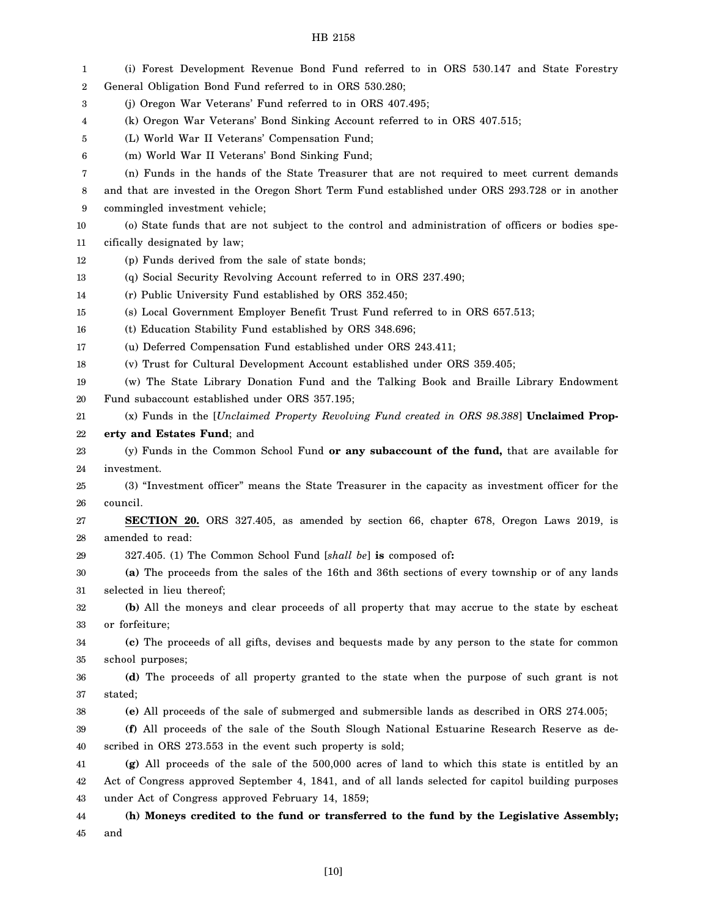| 1  | (i) Forest Development Revenue Bond Fund referred to in ORS 530.147 and State Forestry              |
|----|-----------------------------------------------------------------------------------------------------|
| 2  | General Obligation Bond Fund referred to in ORS 530.280;                                            |
| 3  | (j) Oregon War Veterans' Fund referred to in ORS 407.495;                                           |
| 4  | (k) Oregon War Veterans' Bond Sinking Account referred to in ORS 407.515;                           |
| 5  | (L) World War II Veterans' Compensation Fund;                                                       |
| 6  | (m) World War II Veterans' Bond Sinking Fund;                                                       |
| 7  | (n) Funds in the hands of the State Treasurer that are not required to meet current demands         |
| 8  | and that are invested in the Oregon Short Term Fund established under ORS 293.728 or in another     |
| 9  | commingled investment vehicle;                                                                      |
| 10 | (o) State funds that are not subject to the control and administration of officers or bodies spe-   |
| 11 | cifically designated by law;                                                                        |
| 12 | (p) Funds derived from the sale of state bonds;                                                     |
| 13 | (q) Social Security Revolving Account referred to in ORS 237.490;                                   |
| 14 | (r) Public University Fund established by ORS 352.450;                                              |
| 15 | (s) Local Government Employer Benefit Trust Fund referred to in ORS 657.513;                        |
| 16 | (t) Education Stability Fund established by ORS 348.696;                                            |
| 17 | (u) Deferred Compensation Fund established under ORS 243.411;                                       |
| 18 | (v) Trust for Cultural Development Account established under ORS 359.405;                           |
| 19 | (w) The State Library Donation Fund and the Talking Book and Braille Library Endowment              |
| 20 | Fund subaccount established under ORS 357.195;                                                      |
| 21 | (x) Funds in the [Unclaimed Property Revolving Fund created in ORS 98.388] Unclaimed Prop-          |
| 22 | erty and Estates Fund; and                                                                          |
| 23 | (y) Funds in the Common School Fund or any subaccount of the fund, that are available for           |
| 24 | investment.                                                                                         |
| 25 | (3) "Investment officer" means the State Treasurer in the capacity as investment officer for the    |
| 26 | council.                                                                                            |
| 27 | <b>SECTION 20.</b> ORS 327.405, as amended by section 66, chapter 678, Oregon Laws 2019, is         |
| 28 | amended to read:                                                                                    |
| 29 | 327.405. (1) The Common School Fund [shall be] is composed of:                                      |
| 30 | (a) The proceeds from the sales of the 16th and 36th sections of every township or of any lands     |
| 31 | selected in lieu thereof;                                                                           |
| 32 | (b) All the moneys and clear proceeds of all property that may accrue to the state by escheat       |
| 33 | or forfeiture;                                                                                      |
| 34 | (c) The proceeds of all gifts, devises and bequests made by any person to the state for common      |
| 35 | school purposes;                                                                                    |
| 36 | (d) The proceeds of all property granted to the state when the purpose of such grant is not         |
| 37 | stated;                                                                                             |
| 38 | (e) All proceeds of the sale of submerged and submersible lands as described in ORS 274.005;        |
| 39 | (f) All proceeds of the sale of the South Slough National Estuarine Research Reserve as de-         |
| 40 | scribed in ORS 273.553 in the event such property is sold;                                          |
| 41 | (g) All proceeds of the sale of the 500,000 acres of land to which this state is entitled by an     |
| 42 | Act of Congress approved September 4, 1841, and of all lands selected for capitol building purposes |
| 43 | under Act of Congress approved February 14, 1859;                                                   |
| 44 | (h) Moneys credited to the fund or transferred to the fund by the Legislative Assembly;             |
| 45 | and                                                                                                 |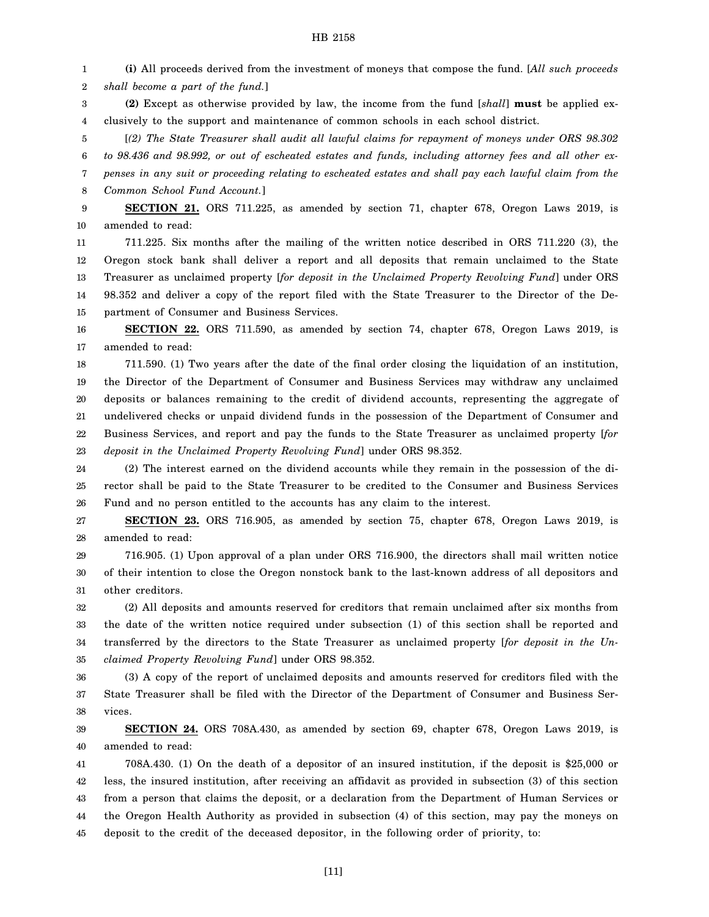1 2 3 4 5 6 7 8 9 10 11 12 13 14 15 16 17 18 19 20 21 22 23 24 **(i)** All proceeds derived from the investment of moneys that compose the fund. [*All such proceeds shall become a part of the fund.*] **(2)** Except as otherwise provided by law, the income from the fund [*shall*] **must** be applied exclusively to the support and maintenance of common schools in each school district. [*(2) The State Treasurer shall audit all lawful claims for repayment of moneys under ORS 98.302 to 98.436 and 98.992, or out of escheated estates and funds, including attorney fees and all other expenses in any suit or proceeding relating to escheated estates and shall pay each lawful claim from the Common School Fund Account.*] **SECTION 21.** ORS 711.225, as amended by section 71, chapter 678, Oregon Laws 2019, is amended to read: 711.225. Six months after the mailing of the written notice described in ORS 711.220 (3), the Oregon stock bank shall deliver a report and all deposits that remain unclaimed to the State Treasurer as unclaimed property [*for deposit in the Unclaimed Property Revolving Fund*] under ORS 98.352 and deliver a copy of the report filed with the State Treasurer to the Director of the Department of Consumer and Business Services. **SECTION 22.** ORS 711.590, as amended by section 74, chapter 678, Oregon Laws 2019, is amended to read: 711.590. (1) Two years after the date of the final order closing the liquidation of an institution, the Director of the Department of Consumer and Business Services may withdraw any unclaimed deposits or balances remaining to the credit of dividend accounts, representing the aggregate of undelivered checks or unpaid dividend funds in the possession of the Department of Consumer and Business Services, and report and pay the funds to the State Treasurer as unclaimed property [*for deposit in the Unclaimed Property Revolving Fund*] under ORS 98.352. (2) The interest earned on the dividend accounts while they remain in the possession of the di-

25 26 rector shall be paid to the State Treasurer to be credited to the Consumer and Business Services Fund and no person entitled to the accounts has any claim to the interest.

27 28 **SECTION 23.** ORS 716.905, as amended by section 75, chapter 678, Oregon Laws 2019, is amended to read:

29 30 31 716.905. (1) Upon approval of a plan under ORS 716.900, the directors shall mail written notice of their intention to close the Oregon nonstock bank to the last-known address of all depositors and other creditors.

32 33 34 35 (2) All deposits and amounts reserved for creditors that remain unclaimed after six months from the date of the written notice required under subsection (1) of this section shall be reported and transferred by the directors to the State Treasurer as unclaimed property [*for deposit in the Unclaimed Property Revolving Fund*] under ORS 98.352.

36 37 38 (3) A copy of the report of unclaimed deposits and amounts reserved for creditors filed with the State Treasurer shall be filed with the Director of the Department of Consumer and Business Services.

39 40 **SECTION 24.** ORS 708A.430, as amended by section 69, chapter 678, Oregon Laws 2019, is amended to read:

41 42 43 44 45 708A.430. (1) On the death of a depositor of an insured institution, if the deposit is \$25,000 or less, the insured institution, after receiving an affidavit as provided in subsection (3) of this section from a person that claims the deposit, or a declaration from the Department of Human Services or the Oregon Health Authority as provided in subsection (4) of this section, may pay the moneys on deposit to the credit of the deceased depositor, in the following order of priority, to: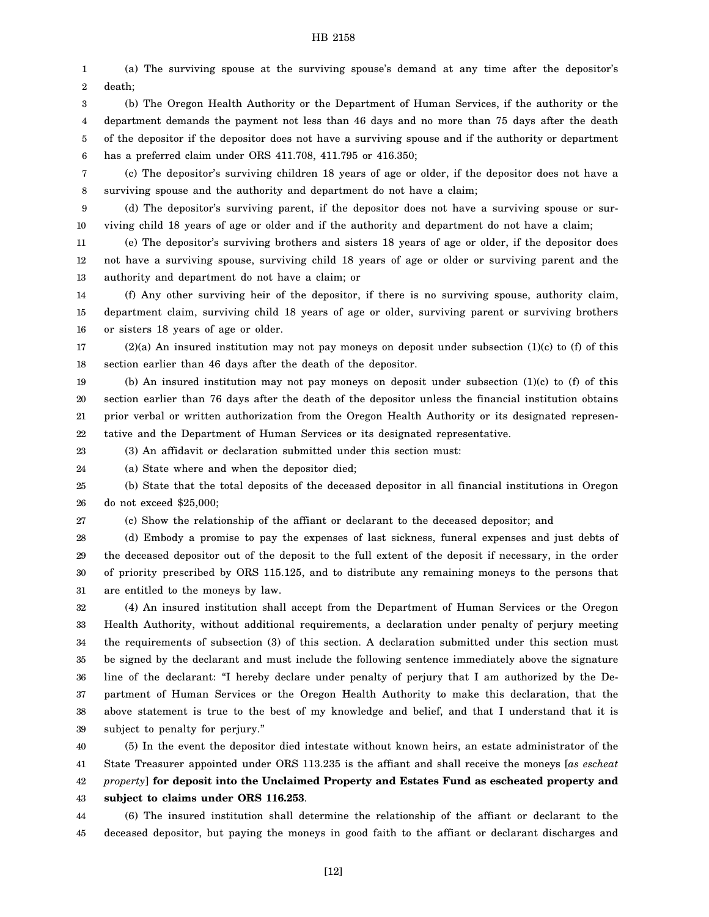1 2 3 (a) The surviving spouse at the surviving spouse's demand at any time after the depositor's death; (b) The Oregon Health Authority or the Department of Human Services, if the authority or the

4 5 6 department demands the payment not less than 46 days and no more than 75 days after the death of the depositor if the depositor does not have a surviving spouse and if the authority or department has a preferred claim under ORS 411.708, 411.795 or 416.350;

7 8 (c) The depositor's surviving children 18 years of age or older, if the depositor does not have a surviving spouse and the authority and department do not have a claim;

9 10 (d) The depositor's surviving parent, if the depositor does not have a surviving spouse or surviving child 18 years of age or older and if the authority and department do not have a claim;

11 12 13 (e) The depositor's surviving brothers and sisters 18 years of age or older, if the depositor does not have a surviving spouse, surviving child 18 years of age or older or surviving parent and the authority and department do not have a claim; or

14 15 16 (f) Any other surviving heir of the depositor, if there is no surviving spouse, authority claim, department claim, surviving child 18 years of age or older, surviving parent or surviving brothers or sisters 18 years of age or older.

17 18  $(2)(a)$  An insured institution may not pay moneys on deposit under subsection  $(1)(c)$  to  $(f)$  of this section earlier than 46 days after the death of the depositor.

19 20 21 22 (b) An insured institution may not pay moneys on deposit under subsection (1)(c) to (f) of this section earlier than 76 days after the death of the depositor unless the financial institution obtains prior verbal or written authorization from the Oregon Health Authority or its designated representative and the Department of Human Services or its designated representative.

23 (3) An affidavit or declaration submitted under this section must:

24 (a) State where and when the depositor died;

25 26 (b) State that the total deposits of the deceased depositor in all financial institutions in Oregon do not exceed \$25,000;

27

(c) Show the relationship of the affiant or declarant to the deceased depositor; and

28 29 30 31 (d) Embody a promise to pay the expenses of last sickness, funeral expenses and just debts of the deceased depositor out of the deposit to the full extent of the deposit if necessary, in the order of priority prescribed by ORS 115.125, and to distribute any remaining moneys to the persons that are entitled to the moneys by law.

32 33 34 35 36 37 38 39 (4) An insured institution shall accept from the Department of Human Services or the Oregon Health Authority, without additional requirements, a declaration under penalty of perjury meeting the requirements of subsection (3) of this section. A declaration submitted under this section must be signed by the declarant and must include the following sentence immediately above the signature line of the declarant: "I hereby declare under penalty of perjury that I am authorized by the Department of Human Services or the Oregon Health Authority to make this declaration, that the above statement is true to the best of my knowledge and belief, and that I understand that it is subject to penalty for perjury."

40 41 42 43 (5) In the event the depositor died intestate without known heirs, an estate administrator of the State Treasurer appointed under ORS 113.235 is the affiant and shall receive the moneys [*as escheat property*] **for deposit into the Unclaimed Property and Estates Fund as escheated property and subject to claims under ORS 116.253**.

44 45 (6) The insured institution shall determine the relationship of the affiant or declarant to the deceased depositor, but paying the moneys in good faith to the affiant or declarant discharges and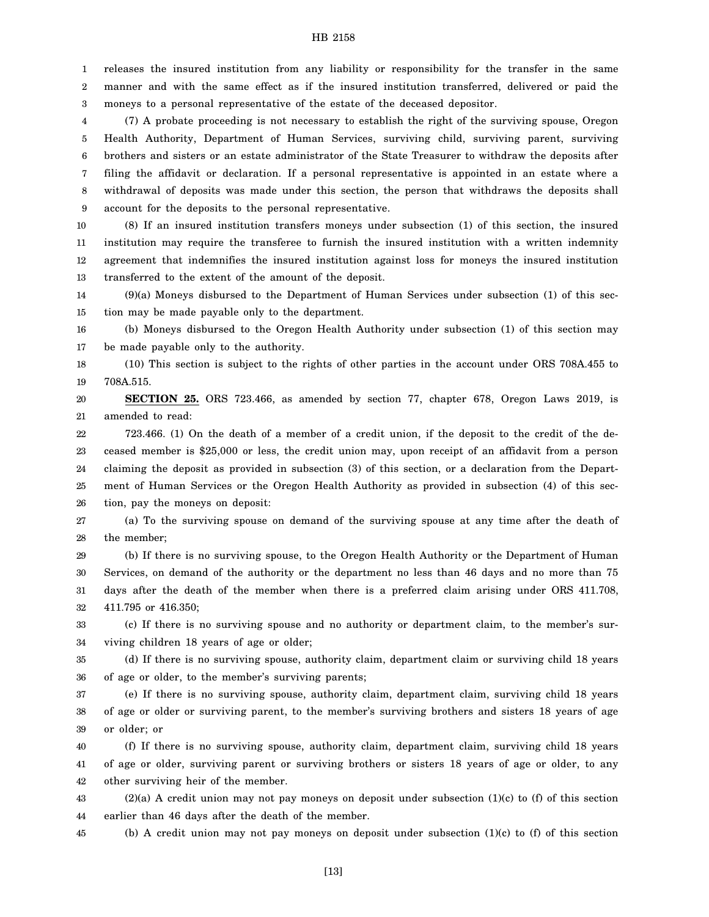1 2 3 releases the insured institution from any liability or responsibility for the transfer in the same manner and with the same effect as if the insured institution transferred, delivered or paid the moneys to a personal representative of the estate of the deceased depositor.

4 5 6 7 8 9 (7) A probate proceeding is not necessary to establish the right of the surviving spouse, Oregon Health Authority, Department of Human Services, surviving child, surviving parent, surviving brothers and sisters or an estate administrator of the State Treasurer to withdraw the deposits after filing the affidavit or declaration. If a personal representative is appointed in an estate where a withdrawal of deposits was made under this section, the person that withdraws the deposits shall account for the deposits to the personal representative.

10 11 12 13 (8) If an insured institution transfers moneys under subsection (1) of this section, the insured institution may require the transferee to furnish the insured institution with a written indemnity agreement that indemnifies the insured institution against loss for moneys the insured institution transferred to the extent of the amount of the deposit.

14 15 (9)(a) Moneys disbursed to the Department of Human Services under subsection (1) of this section may be made payable only to the department.

16 17 (b) Moneys disbursed to the Oregon Health Authority under subsection (1) of this section may be made payable only to the authority.

18 19 (10) This section is subject to the rights of other parties in the account under ORS 708A.455 to 708A.515.

20 21 **SECTION 25.** ORS 723.466, as amended by section 77, chapter 678, Oregon Laws 2019, is amended to read:

22 23 24 25 26 723.466. (1) On the death of a member of a credit union, if the deposit to the credit of the deceased member is \$25,000 or less, the credit union may, upon receipt of an affidavit from a person claiming the deposit as provided in subsection (3) of this section, or a declaration from the Department of Human Services or the Oregon Health Authority as provided in subsection (4) of this section, pay the moneys on deposit:

27 28 (a) To the surviving spouse on demand of the surviving spouse at any time after the death of the member;

29 30 31 32 (b) If there is no surviving spouse, to the Oregon Health Authority or the Department of Human Services, on demand of the authority or the department no less than 46 days and no more than 75 days after the death of the member when there is a preferred claim arising under ORS 411.708, 411.795 or 416.350;

33 34 (c) If there is no surviving spouse and no authority or department claim, to the member's surviving children 18 years of age or older;

35 36 (d) If there is no surviving spouse, authority claim, department claim or surviving child 18 years of age or older, to the member's surviving parents;

37 38 39 (e) If there is no surviving spouse, authority claim, department claim, surviving child 18 years of age or older or surviving parent, to the member's surviving brothers and sisters 18 years of age or older; or

40 41 42 (f) If there is no surviving spouse, authority claim, department claim, surviving child 18 years of age or older, surviving parent or surviving brothers or sisters 18 years of age or older, to any other surviving heir of the member.

43 44 (2)(a) A credit union may not pay moneys on deposit under subsection (1)(c) to (f) of this section earlier than 46 days after the death of the member.

45 (b) A credit union may not pay moneys on deposit under subsection  $(1)(c)$  to  $(f)$  of this section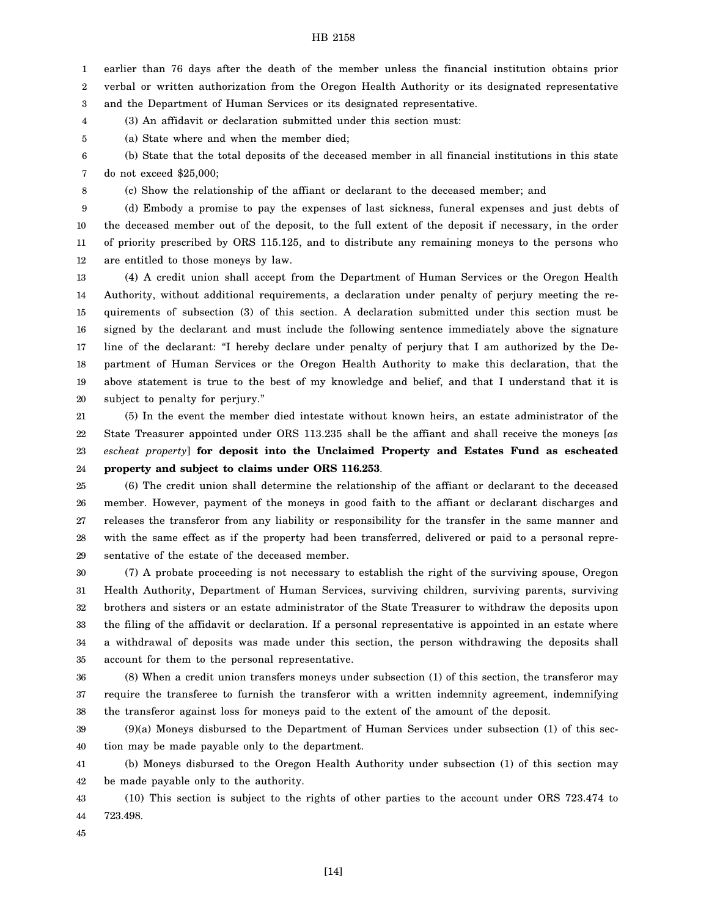1 2 earlier than 76 days after the death of the member unless the financial institution obtains prior verbal or written authorization from the Oregon Health Authority or its designated representative

3 and the Department of Human Services or its designated representative.

4 (3) An affidavit or declaration submitted under this section must:

5 (a) State where and when the member died;

6 7 (b) State that the total deposits of the deceased member in all financial institutions in this state do not exceed \$25,000;

8

(c) Show the relationship of the affiant or declarant to the deceased member; and

9 10 11 12 (d) Embody a promise to pay the expenses of last sickness, funeral expenses and just debts of the deceased member out of the deposit, to the full extent of the deposit if necessary, in the order of priority prescribed by ORS 115.125, and to distribute any remaining moneys to the persons who are entitled to those moneys by law.

13 14 15 16 17 18 19 20 (4) A credit union shall accept from the Department of Human Services or the Oregon Health Authority, without additional requirements, a declaration under penalty of perjury meeting the requirements of subsection (3) of this section. A declaration submitted under this section must be signed by the declarant and must include the following sentence immediately above the signature line of the declarant: "I hereby declare under penalty of perjury that I am authorized by the Department of Human Services or the Oregon Health Authority to make this declaration, that the above statement is true to the best of my knowledge and belief, and that I understand that it is subject to penalty for perjury."

21 22 23 24 (5) In the event the member died intestate without known heirs, an estate administrator of the State Treasurer appointed under ORS 113.235 shall be the affiant and shall receive the moneys [*as escheat property*] **for deposit into the Unclaimed Property and Estates Fund as escheated property and subject to claims under ORS 116.253**.

25 26 27 28 29 (6) The credit union shall determine the relationship of the affiant or declarant to the deceased member. However, payment of the moneys in good faith to the affiant or declarant discharges and releases the transferor from any liability or responsibility for the transfer in the same manner and with the same effect as if the property had been transferred, delivered or paid to a personal representative of the estate of the deceased member.

30 31 32 33 34 35 (7) A probate proceeding is not necessary to establish the right of the surviving spouse, Oregon Health Authority, Department of Human Services, surviving children, surviving parents, surviving brothers and sisters or an estate administrator of the State Treasurer to withdraw the deposits upon the filing of the affidavit or declaration. If a personal representative is appointed in an estate where a withdrawal of deposits was made under this section, the person withdrawing the deposits shall account for them to the personal representative.

36 37 38 (8) When a credit union transfers moneys under subsection (1) of this section, the transferor may require the transferee to furnish the transferor with a written indemnity agreement, indemnifying the transferor against loss for moneys paid to the extent of the amount of the deposit.

39 40 (9)(a) Moneys disbursed to the Department of Human Services under subsection (1) of this section may be made payable only to the department.

41 42 (b) Moneys disbursed to the Oregon Health Authority under subsection (1) of this section may be made payable only to the authority.

43 44 (10) This section is subject to the rights of other parties to the account under ORS 723.474 to 723.498.

45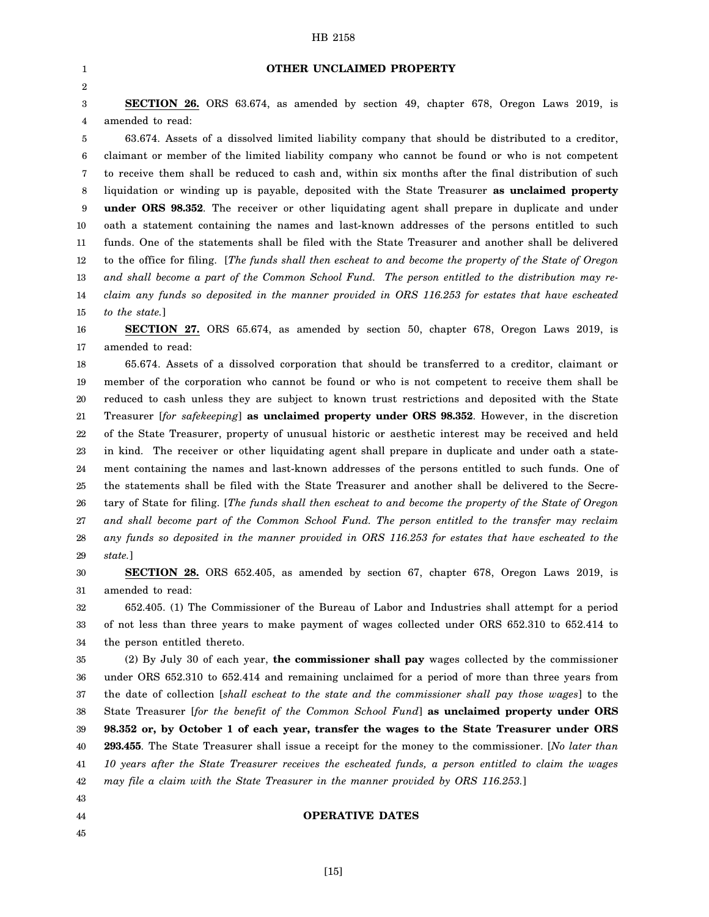| 1                | OTHER UNCLAIMED PROPERTY                                                                                  |
|------------------|-----------------------------------------------------------------------------------------------------------|
| 2                |                                                                                                           |
| $\boldsymbol{3}$ | <b>SECTION 26.</b> ORS 63.674, as amended by section 49, chapter 678, Oregon Laws 2019, is                |
| 4                | amended to read:                                                                                          |
| 5                | 63.674. Assets of a dissolved limited liability company that should be distributed to a creditor,         |
| 6                | claimant or member of the limited liability company who cannot be found or who is not competent           |
| 7                | to receive them shall be reduced to cash and, within six months after the final distribution of such      |
| 8                | liquidation or winding up is payable, deposited with the State Treasurer as unclaimed property            |
| 9                | under ORS 98.352. The receiver or other liquidating agent shall prepare in duplicate and under            |
| 10               | oath a statement containing the names and last-known addresses of the persons entitled to such            |
| 11               | funds. One of the statements shall be filed with the State Treasurer and another shall be delivered       |
| 12               | to the office for filing. [The funds shall then escheat to and become the property of the State of Oregon |
| 13               | and shall become a part of the Common School Fund. The person entitled to the distribution may re-        |
| 14               | claim any funds so deposited in the manner provided in ORS 116.253 for estates that have escheated        |
| 15               | to the state.]                                                                                            |
| 16               | <b>SECTION 27.</b> ORS 65.674, as amended by section 50, chapter 678, Oregon Laws 2019, is                |
| 17               | amended to read:                                                                                          |
| 18               | 65.674. Assets of a dissolved corporation that should be transferred to a creditor, claimant or           |
| 19               | member of the corporation who cannot be found or who is not competent to receive them shall be            |
| 20               | reduced to cash unless they are subject to known trust restrictions and deposited with the State          |
| 21               | Treasurer [for safekeeping] as unclaimed property under ORS 98.352. However, in the discretion            |
| 22               | of the State Treasurer, property of unusual historic or aesthetic interest may be received and held       |
| 23               | in kind. The receiver or other liquidating agent shall prepare in duplicate and under oath a state-       |
| 24               | ment containing the names and last-known addresses of the persons entitled to such funds. One of          |
| 25               | the statements shall be filed with the State Treasurer and another shall be delivered to the Secre-       |
| 26               | tary of State for filing. [The funds shall then escheat to and become the property of the State of Oregon |
| 27               | and shall become part of the Common School Fund. The person entitled to the transfer may reclaim          |
| 28               | any funds so deposited in the manner provided in ORS 116.253 for estates that have escheated to the       |
| 29               | state.]                                                                                                   |
| 30               | <b>SECTION 28.</b> ORS 652.405, as amended by section 67, chapter 678, Oregon Laws 2019, is               |
| 31               | amended to read:                                                                                          |
| 32               | 652.405. (1) The Commissioner of the Bureau of Labor and Industries shall attempt for a period            |
| 33               | of not less than three years to make payment of wages collected under ORS 652.310 to 652.414 to           |
| 34               | the person entitled thereto.                                                                              |
| 35               | (2) By July 30 of each year, the commissioner shall pay wages collected by the commissioner               |
| 36               | under ORS 652.310 to 652.414 and remaining unclaimed for a period of more than three years from           |

37 38 39 40 41 42 43 the date of collection [*shall escheat to the state and the commissioner shall pay those wages*] to the State Treasurer [*for the benefit of the Common School Fund*] **as unclaimed property under ORS 98.352 or, by October 1 of each year, transfer the wages to the State Treasurer under ORS 293.455**. The State Treasurer shall issue a receipt for the money to the commissioner. [*No later than 10 years after the State Treasurer receives the escheated funds, a person entitled to claim the wages may file a claim with the State Treasurer in the manner provided by ORS 116.253.*]

#### **OPERATIVE DATES**

44 45